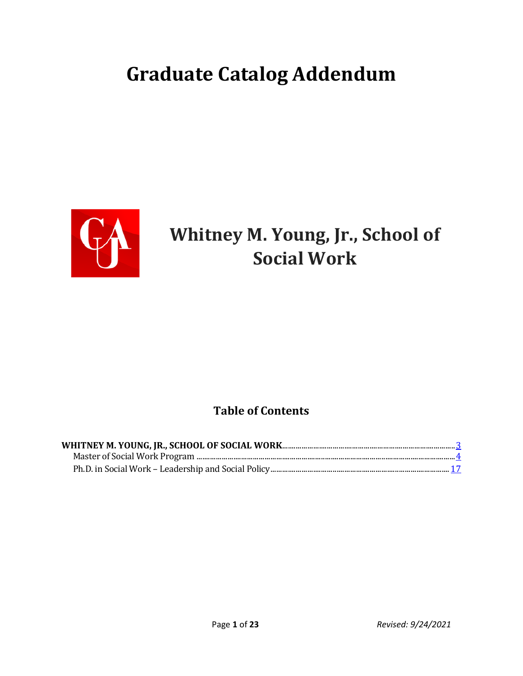# **Graduate Catalog Addendum**



# **Whitney M. Young, Jr., School of Social Work**

# **Table of Contents**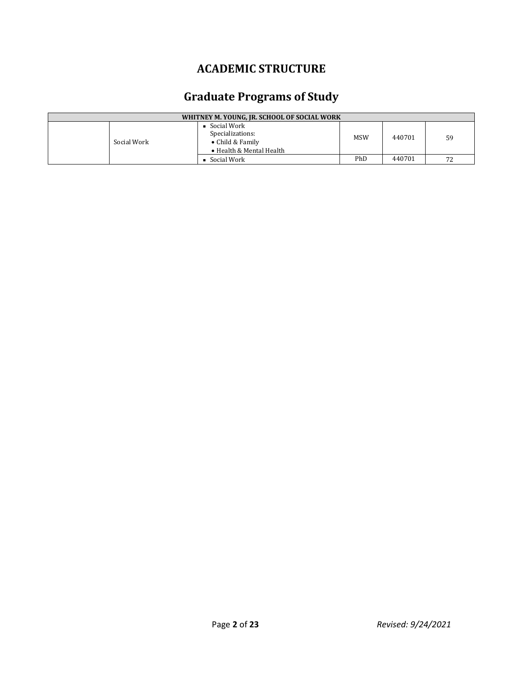# **ACADEMIC STRUCTURE**

# **Graduate Programs of Study**

| WHITNEY M. YOUNG, JR. SCHOOL OF SOCIAL WORK |             |                                                                                         |     |        |    |
|---------------------------------------------|-------------|-----------------------------------------------------------------------------------------|-----|--------|----|
|                                             | Social Work | Social Work<br>Specializations:<br>$\bullet$ Child & Family<br>• Health & Mental Health | MSW | 440701 | 59 |
|                                             |             | Social Work                                                                             | PhD | 440701 | 72 |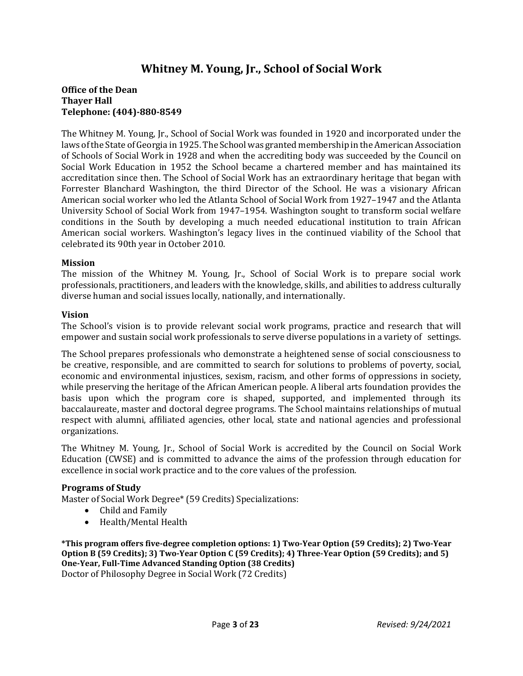# **Whitney M. Young, Jr., School of Social Work**

# **Office of the Dean Thayer Hall Telephone: (404)-880-8549**

The Whitney M. Young, Jr., School of Social Work was founded in 1920 and incorporated under the laws of the State of Georgia in 1925. The School was granted membership in the American Association of Schools of Social Work in 1928 and when the accrediting body was succeeded by the Council on Social Work Education in 1952 the School became a chartered member and has maintained its accreditation since then. The School of Social Work has an extraordinary heritage that began with Forrester Blanchard Washington, the third Director of the School. He was a visionary African American social worker who led the Atlanta School of Social Work from 1927–1947 and the Atlanta University School of Social Work from 1947–1954. Washington sought to transform social welfare conditions in the South by developing a much needed educational institution to train African American social workers. Washington's legacy lives in the continued viability of the School that celebrated its 90th year in October 2010.

#### **Mission**

The mission of the Whitney M. Young, Jr., School of Social Work is to prepare social work professionals, practitioners, and leaders with the knowledge, skills, and abilities to address culturally diverse human and social issues locally, nationally, and internationally.

#### **Vision**

The School's vision is to provide relevant social work programs, practice and research that will empower and sustain social work professionals to serve diverse populations in a variety of settings.

The School prepares professionals who demonstrate a heightened sense of social consciousness to be creative, responsible, and are committed to search for solutions to problems of poverty, social, economic and environmental injustices, sexism, racism, and other forms of oppressions in society, while preserving the heritage of the African American people. A liberal arts foundation provides the basis upon which the program core is shaped, supported, and implemented through its baccalaureate, master and doctoral degree programs. The School maintains relationships of mutual respect with alumni, affiliated agencies, other local, state and national agencies and professional organizations.

The Whitney M. Young, Jr., School of Social Work is accredited by the Council on Social Work Education (CWSE) and is committed to advance the aims of the profession through education for excellence in social work practice and to the core values of the profession.

#### **Programs of Study**

Master of Social Work Degree\* (59 Credits) Specializations:

- Child and Family
- Health/Mental Health

**\*This program offers five-degree completion options: 1) Two-Year Option (59 Credits); 2) Two-Year Option B (59 Credits); 3) Two-Year Option C (59 Credits); 4) Three-Year Option (59 Credits); and 5) One-Year, Full-Time Advanced Standing Option (38 Credits)** Doctor of Philosophy Degree in Social Work (72 Credits)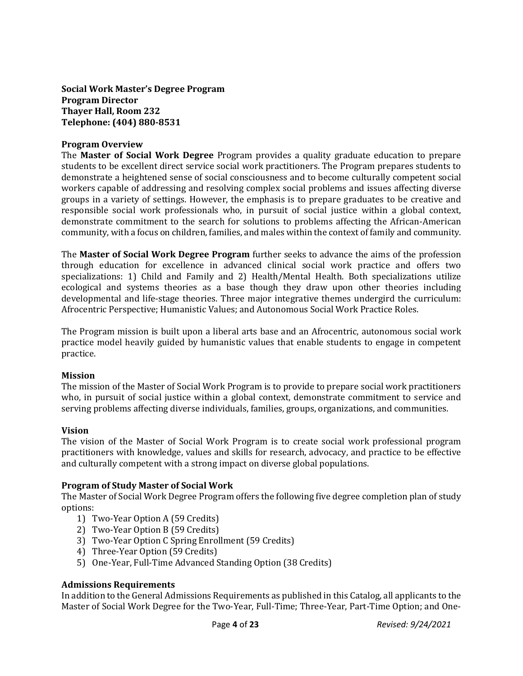**Social Work Master's Degree Program Program Director Thayer Hall, Room 232 Telephone: (404) 880-8531**

#### **Program Overview**

The **Master of Social Work Degree** Program provides a quality graduate education to prepare students to be excellent direct service social work practitioners. The Program prepares students to demonstrate a heightened sense of social consciousness and to become culturally competent social workers capable of addressing and resolving complex social problems and issues affecting diverse groups in a variety of settings. However, the emphasis is to prepare graduates to be creative and responsible social work professionals who, in pursuit of social justice within a global context, demonstrate commitment to the search for solutions to problems affecting the African-American community, with a focus on children, families, and males within the context of family and community.

The **Master of Social Work Degree Program** further seeks to advance the aims of the profession through education for excellence in advanced clinical social work practice and offers two specializations: 1) Child and Family and 2) Health/Mental Health. Both specializations utilize ecological and systems theories as a base though they draw upon other theories including developmental and life-stage theories. Three major integrative themes undergird the curriculum: Afrocentric Perspective; Humanistic Values; and Autonomous Social Work Practice Roles.

The Program mission is built upon a liberal arts base and an Afrocentric, autonomous social work practice model heavily guided by humanistic values that enable students to engage in competent practice.

#### **Mission**

The mission of the Master of Social Work Program is to provide to prepare social work practitioners who, in pursuit of social justice within a global context, demonstrate commitment to service and serving problems affecting diverse individuals, families, groups, organizations, and communities.

#### **Vision**

The vision of the Master of Social Work Program is to create social work professional program practitioners with knowledge, values and skills for research, advocacy, and practice to be effective and culturally competent with a strong impact on diverse global populations.

#### **Program of Study Master of Social Work**

The Master of Social Work Degree Program offers the following five degree completion plan of study options:

- 1) Two-Year Option A (59 Credits)
- 2) Two-Year Option B (59 Credits)
- 3) Two-Year Option C Spring Enrollment (59 Credits)
- 4) Three-Year Option (59 Credits)
- 5) One-Year, Full-Time Advanced Standing Option (38 Credits)

#### **Admissions Requirements**

In addition to the General Admissions Requirements as published in this Catalog, all applicants to the Master of Social Work Degree for the Two-Year, Full-Time; Three-Year, Part-Time Option; and One-

Page **4** of **23** *Revised: 9/24/2021*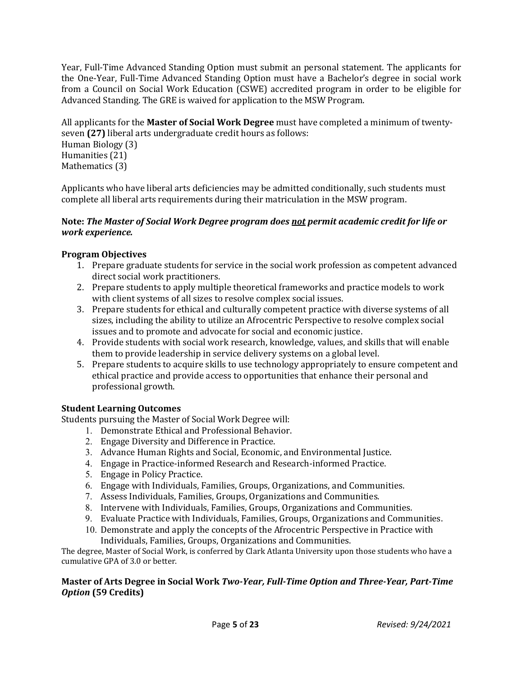Year, Full-Time Advanced Standing Option must submit an personal statement. The applicants for the One-Year, Full-Time Advanced Standing Option must have a Bachelor's degree in social work from a Council on Social Work Education (CSWE) accredited program in order to be eligible for Advanced Standing. The GRE is waived for application to the MSW Program.

All applicants for the **Master of Social Work Degree** must have completed a minimum of twentyseven **(27)** liberal arts undergraduate credit hours as follows: Human Biology (3) Humanities (21) Mathematics (3)

Applicants who have liberal arts deficiencies may be admitted conditionally, such students must complete all liberal arts requirements during their matriculation in the MSW program.

# **Note:** *The Master of Social Work Degree program does not permit academic credit for life or work experience.*

# **Program Objectives**

- 1. Prepare graduate students for service in the social work profession as competent advanced direct social work practitioners.
- 2. Prepare students to apply multiple theoretical frameworks and practice models to work with client systems of all sizes to resolve complex social issues.
- 3. Prepare students for ethical and culturally competent practice with diverse systems of all sizes, including the ability to utilize an Afrocentric Perspective to resolve complex social issues and to promote and advocate for social and economic justice.
- 4. Provide students with social work research, knowledge, values, and skills that will enable them to provide leadership in service delivery systems on a global level.
- 5. Prepare students to acquire skills to use technology appropriately to ensure competent and ethical practice and provide access to opportunities that enhance their personal and professional growth.

# **Student Learning Outcomes**

Students pursuing the Master of Social Work Degree will:

- 1. Demonstrate Ethical and Professional Behavior.
- 2. Engage Diversity and Difference in Practice.
- 3. Advance Human Rights and Social, Economic, and Environmental Justice.
- 4. Engage in Practice-informed Research and Research-informed Practice.
- 5. Engage in Policy Practice.
- 6. Engage with Individuals, Families, Groups, Organizations, and Communities.
- 7. Assess Individuals, Families, Groups, Organizations and Communities.
- 8. Intervene with Individuals, Families, Groups, Organizations and Communities.
- 9. Evaluate Practice with Individuals, Families, Groups, Organizations and Communities.
- 10. Demonstrate and apply the concepts of the Afrocentric Perspective in Practice with Individuals, Families, Groups, Organizations and Communities.

The degree, Master of Social Work, is conferred by Clark Atlanta University upon those students who have a cumulative GPA of 3.0 or better.

# **Master of Arts Degree in Social Work** *Two-Year, Full-Time Option and Three-Year, Part-Time Option* **(59 Credits)**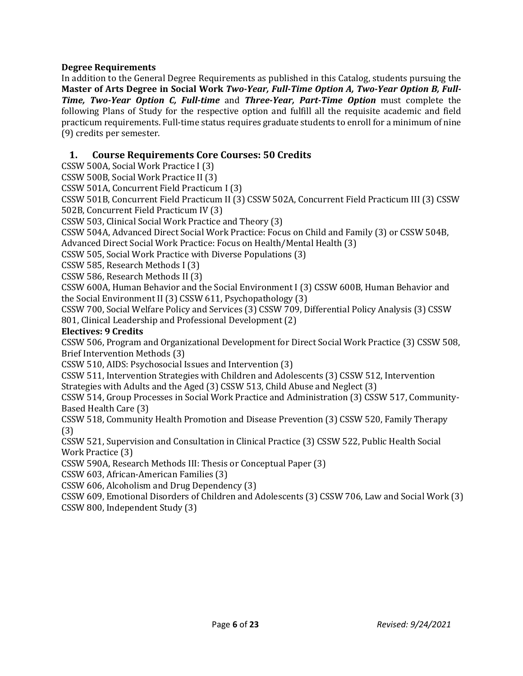# **Degree Requirements**

In addition to the General Degree Requirements as published in this Catalog, students pursuing the **Master of Arts Degree in Social Work** *Two-Year, Full-Time Option A, Two-Year Option B, Full-Time, Two-Year Option C, Full-time* and *Three-Year, Part-Time Option* must complete the following Plans of Study for the respective option and fulfill all the requisite academic and field practicum requirements. Full-time status requires graduate students to enroll for a minimum of nine (9) credits per semester.

# **1. Course Requirements Core Courses: 50 Credits**

CSSW 500A, Social Work Practice I (3)

CSSW 500B, Social Work Practice II (3)

CSSW 501A, Concurrent Field Practicum I (3)

CSSW 501B, Concurrent Field Practicum II (3) CSSW 502A, Concurrent Field Practicum III (3) CSSW 502B, Concurrent Field Practicum IV (3)

CSSW 503, Clinical Social Work Practice and Theory (3)

CSSW 504A, Advanced Direct Social Work Practice: Focus on Child and Family (3) or CSSW 504B, Advanced Direct Social Work Practice: Focus on Health/Mental Health (3)

CSSW 505, Social Work Practice with Diverse Populations (3)

CSSW 585, Research Methods I (3)

CSSW 586, Research Methods II (3)

CSSW 600A, Human Behavior and the Social Environment I (3) CSSW 600B, Human Behavior and the Social Environment II (3) CSSW 611, Psychopathology (3)

CSSW 700, Social Welfare Policy and Services (3) CSSW 709, Differential Policy Analysis (3) CSSW 801, Clinical Leadership and Professional Development (2)

#### **Electives: 9 Credits**

CSSW 506, Program and Organizational Development for Direct Social Work Practice (3) CSSW 508, Brief Intervention Methods (3)

CSSW 510, AIDS: Psychosocial Issues and Intervention (3)

CSSW 511, Intervention Strategies with Children and Adolescents (3) CSSW 512, Intervention Strategies with Adults and the Aged (3) CSSW 513, Child Abuse and Neglect (3)

CSSW 514, Group Processes in Social Work Practice and Administration (3) CSSW 517, Community-Based Health Care (3)

CSSW 518, Community Health Promotion and Disease Prevention (3) CSSW 520, Family Therapy (3)

CSSW 521, Supervision and Consultation in Clinical Practice (3) CSSW 522, Public Health Social Work Practice (3)

CSSW 590A, Research Methods III: Thesis or Conceptual Paper (3)

CSSW 603, African-American Families (3)

CSSW 606, Alcoholism and Drug Dependency (3)

CSSW 609, Emotional Disorders of Children and Adolescents (3) CSSW 706, Law and Social Work (3) CSSW 800, Independent Study (3)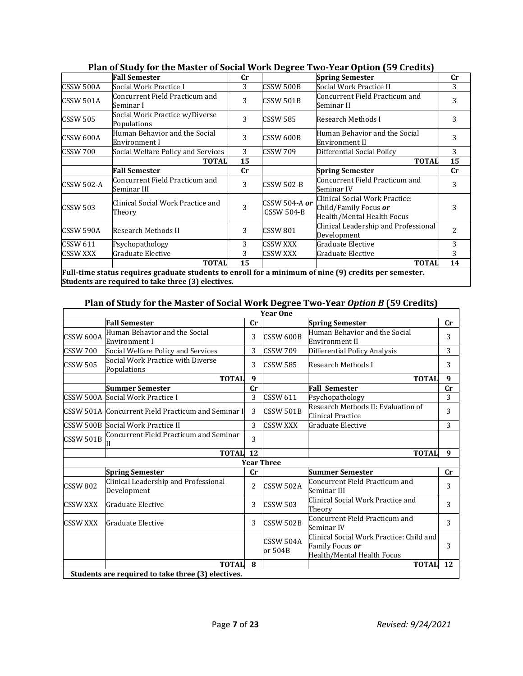|                   | <b>Fall Semester</b>                           | $_{\rm Cr}$    |                                    | <b>Spring Semester</b>                                                                | $_{\rm Cr}$    |
|-------------------|------------------------------------------------|----------------|------------------------------------|---------------------------------------------------------------------------------------|----------------|
| CSSW 500A         | Social Work Practice I                         | 3              | <b>CSSW 500B</b>                   | Social Work Practice II                                                               | 3              |
| CSSW 501A         | Concurrent Field Practicum and<br>Seminar I    | 3              | <b>CSSW 501B</b>                   | Concurrent Field Practicum and<br>Seminar II                                          | 3              |
| <b>CSSW 505</b>   | Social Work Practice w/Diverse<br>Populations  | 3              | <b>CSSW 585</b>                    | Research Methods I                                                                    | 3              |
| CSSW 600A         | Human Behavior and the Social<br>Environment I | 3              | CSSW 600B                          | Human Behavior and the Social<br>Environment II                                       | 3              |
| <b>CSSW 700</b>   | Social Welfare Policy and Services             | 3              | <b>CSSW 709</b>                    | Differential Social Policy                                                            | 3              |
|                   | <b>TOTAL</b>                                   | 15             |                                    | <b>TOTAL</b>                                                                          | 15             |
|                   | <b>Fall Semester</b>                           | $_{\rm Cr}$    |                                    | <b>Spring Semester</b>                                                                | cr             |
| <b>CSSW 502-A</b> | Concurrent Field Practicum and<br>Seminar III  | 3              | <b>CSSW 502-B</b>                  | Concurrent Field Practicum and<br>Seminar IV                                          | 3              |
| <b>CSSW 503</b>   | Clinical Social Work Practice and<br>Theory    | $\overline{3}$ | CSSW 504-A or<br><b>CSSW 504-B</b> | Clinical Social Work Practice:<br>Child/Family Focus or<br>Health/Mental Health Focus | 3              |
| CSSW 590A         | Research Methods II                            | 3              | <b>CSSW 801</b>                    | Clinical Leadership and Professional<br>Development                                   | $\overline{2}$ |
| <b>CSSW 611</b>   | Psychopathology                                | 3              | <b>CSSW XXX</b>                    | Graduate Elective                                                                     | 3              |
|                   |                                                | 3              | <b>CSSW XXX</b>                    | Graduate Elective                                                                     | 3              |
| CSSW XXX          | Graduate Elective                              |                |                                    |                                                                                       |                |

**Plan of Study for the Master of Social Work Degree Two-Year Option (59 Credits)**

**Students are required to take three (3) electives.**

# **Plan of Study for the Master of Social Work Degree Two-Year** *Option B* **(59 Credits)**

|                  |                                                     |                | <b>Year One</b>      |                                                                                           |              |
|------------------|-----------------------------------------------------|----------------|----------------------|-------------------------------------------------------------------------------------------|--------------|
|                  | <b>Fall Semester</b>                                | cr             |                      | <b>Spring Semester</b>                                                                    | $_{\rm Cr}$  |
| CSSW 600A        | Human Behavior and the Social<br>Environment I      | 3              | CSSW 600B            | Human Behavior and the Social<br>Environment II                                           | 3            |
| <b>CSSW 700</b>  | Social Welfare Policy and Services                  | 3              | <b>CSSW 709</b>      | Differential Policy Analysis                                                              | 3            |
| <b>CSSW 505</b>  | Social Work Practice with Diverse<br>Populations    | 3              | <b>CSSW 585</b>      | Research Methods I                                                                        | 3            |
|                  | <b>TOTAL</b>                                        | 9              |                      | <b>TOTAL</b>                                                                              | $\mathbf{q}$ |
|                  | Summer Semester                                     | cr             |                      | <b>Fall Semester</b>                                                                      | $_{\rm Cr}$  |
|                  | CSSW 500A Social Work Practice I                    | 3              | CSSW 611             | Psychopathology                                                                           | 3            |
|                  | CSSW 501A Concurrent Field Practicum and Seminar I  | 3              | CSSW 501B            | Research Methods II: Evaluation of<br>Clinical Practice                                   | 3            |
|                  | CSSW 500B Social Work Practice II                   | 3              | <b>CSSW XXX</b>      | Graduate Elective                                                                         | 3            |
| <b>CSSW 501B</b> | Concurrent Field Practicum and Seminar              | 3              |                      |                                                                                           |              |
|                  | <b>TOTAL</b>                                        | <b>12</b>      |                      | <b>TOTAL</b>                                                                              | 9            |
|                  |                                                     |                | <b>Year Three</b>    |                                                                                           |              |
|                  | <b>Spring Semester</b>                              | cr             |                      | Summer Semester                                                                           | $_{\rm Cr}$  |
| <b>CSSW 802</b>  | Clinical Leadership and Professional<br>Development | $\overline{c}$ | <b>CSSW 502A</b>     | Concurrent Field Practicum and<br>Seminar III                                             | 3            |
| <b>CSSW XXX</b>  | Graduate Elective                                   | 3              | <b>CSSW 503</b>      | lClinical Social Work Practice and<br>Theory                                              | 3            |
| CSSW XXX         | Graduate Elective                                   | 3              | CSSW 502B            | Concurrent Field Practicum and<br>Seminar IV                                              | 3            |
|                  |                                                     |                | CSSW 504A<br>or 504B | Clinical Social Work Practice: Child and<br>Family Focus or<br>Health/Mental Health Focus | 3            |
|                  | <b>TOTAL</b>                                        | 8              |                      | <b>TOTAL</b>                                                                              | 12           |
|                  | Students are required to take three (3) electives.  |                |                      |                                                                                           |              |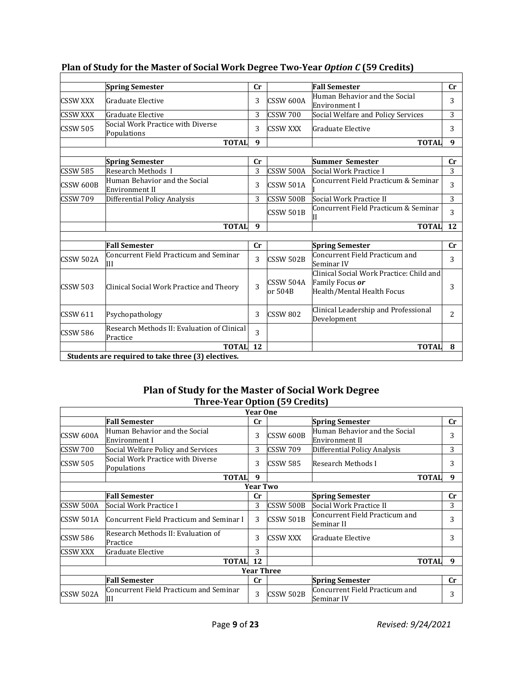|                  | <b>Spring Semester</b>                             | cr |                  | <b>Fall Semester</b>                     | cr |
|------------------|----------------------------------------------------|----|------------------|------------------------------------------|----|
| <b>CSSW XXX</b>  | <b>Graduate Elective</b>                           | 3  | CSSW 600A        | Human Behavior and the Social            | 3  |
|                  |                                                    |    |                  | Environment I                            |    |
| <b>CSSW XXX</b>  | Graduate Elective                                  | 3  | <b>CSSW 700</b>  | Social Welfare and Policy Services       | 3  |
| <b>CSSW 505</b>  | Social Work Practice with Diverse                  | 3  | <b>CSSW XXX</b>  | Graduate Elective                        | 3  |
|                  | Populations                                        |    |                  |                                          |    |
|                  | <b>TOTAL</b>                                       | 9  |                  | <b>TOTAL</b>                             | 9  |
|                  |                                                    |    |                  |                                          |    |
|                  | <b>Spring Semester</b>                             | cr |                  | <b>Summer Semester</b>                   | cr |
| <b>CSSW 585</b>  | Research Methods I                                 | 3  | <b>CSSW 500A</b> | Social Work Practice I                   | 3  |
| CSSW 600B        | Human Behavior and the Social                      | 3  | <b>CSSW 501A</b> | Concurrent Field Practicum & Seminar     | 3  |
|                  | Environment II                                     |    |                  |                                          |    |
| <b>CSSW 709</b>  | Differential Policy Analysis                       | 3  | CSSW 500B        | Social Work Practice II                  | 3  |
|                  |                                                    |    | <b>CSSW 501B</b> | Concurrent Field Practicum & Seminar     | 3  |
|                  |                                                    |    |                  |                                          |    |
|                  | <b>TOTAL</b>                                       | 9  |                  | <b>TOTAL</b>                             | 12 |
|                  |                                                    |    |                  |                                          |    |
|                  | <b>Fall Semester</b>                               | cr |                  | <b>Spring Semester</b>                   | cr |
| <b>CSSW 502A</b> | Concurrent Field Practicum and Seminar             | 3  | CSSW 502B        | Concurrent Field Practicum and           | 3  |
|                  | Ш                                                  |    |                  | Seminar IV                               |    |
|                  |                                                    |    |                  | Clinical Social Work Practice: Child and |    |
| <b>CSSW 503</b>  | Clinical Social Work Practice and Theory           | 3  | <b>CSSW 504A</b> | Family Focus or                          | 3  |
|                  |                                                    |    | or 504B          | Health/Mental Health Focus               |    |
|                  |                                                    |    |                  |                                          |    |
| <b>CSSW 611</b>  | Psychopathology                                    | 3  | <b>CSSW 802</b>  | Clinical Leadership and Professional     | 2  |
|                  |                                                    |    |                  | Development                              |    |
| <b>CSSW 586</b>  | Research Methods II: Evaluation of Clinical        | 3  |                  |                                          |    |
|                  | Practice                                           |    |                  |                                          |    |
|                  | <b>TOTAL</b>                                       | 12 |                  | <b>TOTAL</b>                             | 8  |
|                  | Students are required to take three (3) electives. |    |                  |                                          |    |

# **Plan of Study for the Master of Social Work Degree Two-Year** *Option C* **(59 Credits)**

# **Plan of Study for the Master of Social Work Degree Three-Year Option (59 Credits)**

|                  |                                                  | <b>Year One</b>   |                 |                                                 |    |
|------------------|--------------------------------------------------|-------------------|-----------------|-------------------------------------------------|----|
|                  | <b>Fall Semester</b>                             | cr                |                 | <b>Spring Semester</b>                          | cr |
| <b>CSSW 600A</b> | Human Behavior and the Social<br>Environment I   | 3                 | CSSW 600B       | Human Behavior and the Social<br>Environment II | 3  |
| ICSSW 700        | Social Welfare Policy and Services               | 3                 | <b>CSSW 709</b> | Differential Policy Analysis                    | 3  |
| <b>CSSW 505</b>  | Social Work Practice with Diverse<br>Populations | 3                 | <b>CSSW 585</b> | Research Methods I                              | 3  |
|                  | <b>TOTAL</b>                                     | 9                 |                 | <b>TOTAL</b>                                    | 9  |
|                  |                                                  | <b>Year Two</b>   |                 |                                                 |    |
|                  | <b>Fall Semester</b>                             | cr                |                 | <b>Spring Semester</b>                          | cr |
| CSSW 500A        | Social Work Practice I                           | 3                 | CSSW 500B       | Social Work Practice II                         | 3  |
| ICSSW 501A       | Concurrent Field Practicum and Seminar I         | 3                 | CSSW 501B       | Concurrent Field Practicum and<br>Seminar II    | 3  |
| <b>CSSW 586</b>  | Research Methods II: Evaluation of<br>Practice   | 3                 | <b>CSSW XXX</b> | Graduate Elective                               | 3  |
| <b>CSSW XXX</b>  | Graduate Elective                                | 3                 |                 |                                                 |    |
|                  | <b>TOTAL</b>                                     | 12                |                 | <b>TOTAL</b>                                    | 9  |
|                  |                                                  | <b>Year Three</b> |                 |                                                 |    |
|                  | <b>Fall Semester</b>                             | cr                |                 | <b>Spring Semester</b>                          | cr |
| <b>CSSW 502A</b> | Concurrent Field Practicum and Seminar<br>Ш      | 3                 | CSSW 502B       | Concurrent Field Practicum and<br> Seminar IV   | 3  |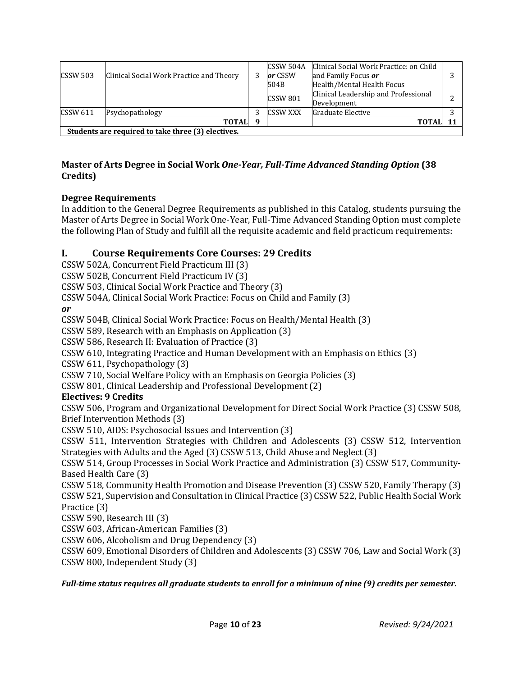| $\textsf{CCSSW}$ 503 | Clinical Social Work Practice and Theory           |    | CSSW 504A<br>or CSSW<br>504B | Clinical Social Work Practice: on Child<br>and Family Focus or<br>Health/Mental Health Focus |   |  |  |
|----------------------|----------------------------------------------------|----|------------------------------|----------------------------------------------------------------------------------------------|---|--|--|
|                      |                                                    |    | <b>CSSW 801</b>              | Clinical Leadership and Professional<br>Development                                          | ∍ |  |  |
| $\textsf{CCSSW} 611$ | Psychopathology                                    |    | <b>CSSW XXX</b>              | Graduate Elective                                                                            |   |  |  |
|                      | <b>TOTAL</b>                                       | -9 |                              | <b>TOTAL</b>                                                                                 |   |  |  |
|                      | Students are required to take three (3) electives. |    |                              |                                                                                              |   |  |  |

# **Master of Arts Degree in Social Work** *One-Year, Full-Time Advanced Standing Option* **(38 Credits)**

# **Degree Requirements**

In addition to the General Degree Requirements as published in this Catalog, students pursuing the Master of Arts Degree in Social Work One-Year, Full-Time Advanced Standing Option must complete the following Plan of Study and fulfill all the requisite academic and field practicum requirements:

# **I. Course Requirements Core Courses: 29 Credits**

CSSW 502A, Concurrent Field Practicum III (3)

CSSW 502B, Concurrent Field Practicum IV (3)

CSSW 503, Clinical Social Work Practice and Theory (3)

CSSW 504A, Clinical Social Work Practice: Focus on Child and Family (3)

*or*

CSSW 504B, Clinical Social Work Practice: Focus on Health/Mental Health (3)

CSSW 589, Research with an Emphasis on Application (3)

CSSW 586, Research II: Evaluation of Practice (3)

CSSW 610, Integrating Practice and Human Development with an Emphasis on Ethics (3)

CSSW 611, Psychopathology (3)

CSSW 710, Social Welfare Policy with an Emphasis on Georgia Policies (3)

CSSW 801, Clinical Leadership and Professional Development (2)

# **Electives: 9 Credits**

CSSW 506, Program and Organizational Development for Direct Social Work Practice (3) CSSW 508, Brief Intervention Methods (3)

CSSW 510, AIDS: Psychosocial Issues and Intervention (3)

CSSW 511, Intervention Strategies with Children and Adolescents (3) CSSW 512, Intervention Strategies with Adults and the Aged (3) CSSW 513, Child Abuse and Neglect (3)

CSSW 514, Group Processes in Social Work Practice and Administration (3) CSSW 517, Community-Based Health Care (3)

CSSW 518, Community Health Promotion and Disease Prevention (3) CSSW 520, Family Therapy (3) CSSW 521, Supervision and Consultation in Clinical Practice (3) CSSW 522, Public Health Social Work Practice (3)

CSSW 590, Research III (3)

CSSW 603, African-American Families (3)

CSSW 606, Alcoholism and Drug Dependency (3)

CSSW 609, Emotional Disorders of Children and Adolescents (3) CSSW 706, Law and Social Work (3) CSSW 800, Independent Study (3)

*Full-time status requires all graduate students to enroll for a minimum of nine (9) credits per semester.*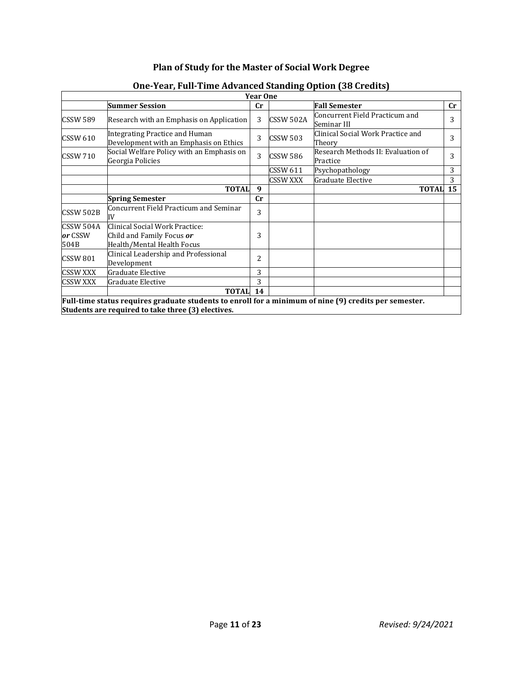# **Plan of Study for the Master of Social Work Degree**

|                              |                                                                                                                                                             | <b>Year One</b> |                 |                                                |    |
|------------------------------|-------------------------------------------------------------------------------------------------------------------------------------------------------------|-----------------|-----------------|------------------------------------------------|----|
|                              | <b>Summer Session</b>                                                                                                                                       | cr              |                 | <b>Fall Semester</b>                           | cr |
| <b>CSSW 589</b>              | Research with an Emphasis on Application                                                                                                                    | 3               | CSSW 502A       | Concurrent Field Practicum and<br>Seminar III  | 3  |
| <b>CSSW 610</b>              | <b>Integrating Practice and Human</b><br>Development with an Emphasis on Ethics                                                                             | 3               | <b>CSSW 503</b> | Clinical Social Work Practice and<br>Theory    | 3  |
| <b>CSSW 710</b>              | Social Welfare Policy with an Emphasis on<br>Georgia Policies                                                                                               | 3               | <b>CSSW 586</b> | Research Methods II: Evaluation of<br>Practice | 3  |
|                              |                                                                                                                                                             |                 | CSSW 611        | Psychopathology                                | 3  |
|                              |                                                                                                                                                             |                 | <b>CSSW XXX</b> | Graduate Elective                              | 3  |
|                              | <b>TOTAL</b>                                                                                                                                                | 9               |                 | <b>TOTAL</b>                                   | 15 |
|                              | <b>Spring Semester</b>                                                                                                                                      | cr              |                 |                                                |    |
| CSSW 502B                    | Concurrent Field Practicum and Seminar<br>IV                                                                                                                | 3               |                 |                                                |    |
| CSSW 504A<br>or CSSW<br>504B | Clinical Social Work Practice:<br>Child and Family Focus or<br>Health/Mental Health Focus                                                                   | 3               |                 |                                                |    |
| CSSW 801                     | Clinical Leadership and Professional<br>Development                                                                                                         | 2               |                 |                                                |    |
| <b>CSSW XXX</b>              | Graduate Elective                                                                                                                                           | 3               |                 |                                                |    |
| CSSW XXX                     | Graduate Elective                                                                                                                                           | 3               |                 |                                                |    |
|                              | <b>TOTAL</b>                                                                                                                                                | 14              |                 |                                                |    |
|                              | Full-time status requires graduate students to enroll for a minimum of nine (9) credits per semester.<br>Students are required to take three (3) electives. |                 |                 |                                                |    |

# **One-Year, Full-Time Advanced Standing Option (38 Credits)**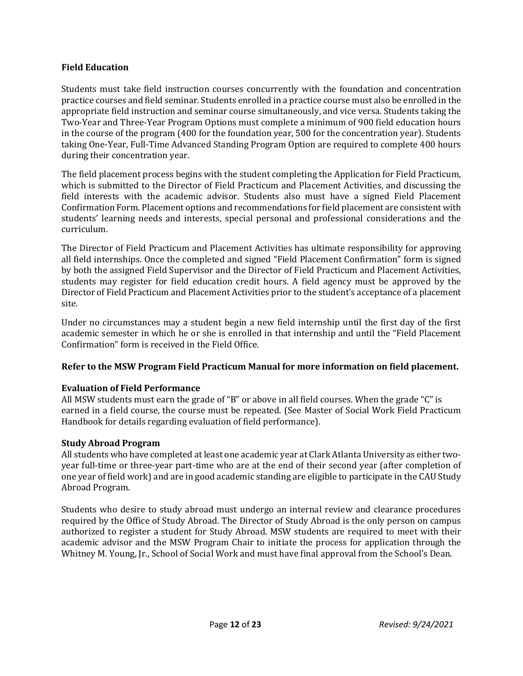#### **Field Education**

Students must take field instruction courses concurrently with the foundation and concentration practice courses and field seminar. Students enrolled in a practice course must also be enrolled in the appropriate field instruction and seminar course simultaneously, and vice versa. Students taking the Two-Year and Three-Year Program Options must complete a minimum of 900 field education hours in the course of the program (400 for the foundation year, 500 for the concentration year). Students taking One-Year, Full-Time Advanced Standing Program Option are required to complete 400 hours during their concentration year.

The field placement process begins with the student completing the Application for Field Practicum, which is submitted to the Director of Field Practicum and Placement Activities, and discussing the field interests with the academic advisor. Students also must have a signed Field Placement Confirmation Form. Placement options and recommendations for field placement are consistent with students' learning needs and interests, special personal and professional considerations and the curriculum.

The Director of Field Practicum and Placement Activities has ultimate responsibility for approving all field internships. Once the completed and signed "Field Placement Confirmation" form is signed by both the assigned Field Supervisor and the Director of Field Practicum and Placement Activities, students may register for field education credit hours. A field agency must be approved by the Director of Field Practicum and Placement Activities prior to the student's acceptance of a placement site.

Under no circumstances may a student begin a new field internship until the first day of the first academic semester in which he or she is enrolled in that internship and until the "Field Placement Confirmation" form is received in the Field Office.

# **Refer to the MSW Program Field Practicum Manual for more information on field placement.**

# **Evaluation of Field Performance**

All MSW students must earn the grade of "B" or above in all field courses. When the grade "C" is earned in a field course, the course must be repeated. (See Master of Social Work Field Practicum Handbook for details regarding evaluation of field performance).

# **Study Abroad Program**

All students who have completed at least one academic year at Clark Atlanta University as either twoyear full-time or three-year part-time who are at the end of their second year (after completion of one year of field work) and are in good academic standing are eligible to participate in the CAU Study Abroad Program.

Students who desire to study abroad must undergo an internal review and clearance procedures required by the Office of Study Abroad. The Director of Study Abroad is the only person on campus authorized to register a student for Study Abroad. MSW students are required to meet with their academic advisor and the MSW Program Chair to initiate the process for application through the Whitney M. Young, Jr., School of Social Work and must have final approval from the School's Dean.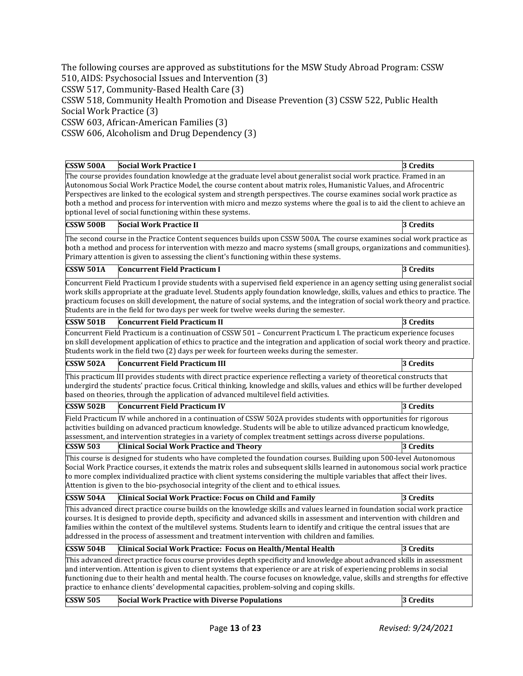The following courses are approved as substitutions for the MSW Study Abroad Program: CSSW 510, AIDS: Psychosocial Issues and Intervention (3) CSSW 517, Community-Based Health Care (3) CSSW 518, Community Health Promotion and Disease Prevention (3) CSSW 522, Public Health Social Work Practice (3)

CSSW 603, African-American Families (3)

CSSW 606, Alcoholism and Drug Dependency (3)

| <b>CSSW 500A</b>                     | <b>Social Work Practice I</b>                                                                                                                                                                                                          | 3 Credits |
|--------------------------------------|----------------------------------------------------------------------------------------------------------------------------------------------------------------------------------------------------------------------------------------|-----------|
|                                      |                                                                                                                                                                                                                                        |           |
|                                      | The course provides foundation knowledge at the graduate level about generalist social work practice. Framed in an<br>Autonomous Social Work Practice Model, the course content about matrix roles, Humanistic Values, and Afrocentric |           |
|                                      | Perspectives are linked to the ecological system and strength perspectives. The course examines social work practice as                                                                                                                |           |
|                                      | both a method and process for intervention with micro and mezzo systems where the goal is to aid the client to achieve an                                                                                                              |           |
|                                      | optional level of social functioning within these systems.                                                                                                                                                                             |           |
| <b>CSSW 500B</b>                     | <b>Social Work Practice II</b>                                                                                                                                                                                                         | 3 Credits |
|                                      | The second course in the Practice Content sequences builds upon CSSW 500A. The course examines social work practice as                                                                                                                 |           |
|                                      | both a method and process for intervention with mezzo and macro systems (small groups, organizations and communities).                                                                                                                 |           |
|                                      | Primary attention is given to assessing the client's functioning within these systems.                                                                                                                                                 |           |
| <b>CSSW 501A</b>                     | <b>Concurrent Field Practicum I</b>                                                                                                                                                                                                    | 3 Credits |
|                                      | Concurrent Field Practicum I provide students with a supervised field experience in an agency setting using generalist social                                                                                                          |           |
|                                      | work skills appropriate at the graduate level. Students apply foundation knowledge, skills, values and ethics to practice. The                                                                                                         |           |
|                                      | practicum focuses on skill development, the nature of social systems, and the integration of social work theory and practice.                                                                                                          |           |
|                                      | Students are in the field for two days per week for twelve weeks during the semester.                                                                                                                                                  |           |
| <b>CSSW 501B</b>                     | <b>Concurrent Field Practicum II</b>                                                                                                                                                                                                   | 3 Credits |
|                                      | Concurrent Field Practicum is a continuation of CSSW 501 - Concurrent Practicum I. The practicum experience focuses                                                                                                                    |           |
|                                      | on skill development application of ethics to practice and the integration and application of social work theory and practice.                                                                                                         |           |
|                                      | Students work in the field two (2) days per week for fourteen weeks during the semester.                                                                                                                                               |           |
| <b>CSSW 502A</b>                     | <b>Concurrent Field Practicum III</b>                                                                                                                                                                                                  | 3 Credits |
|                                      | This practicum III provides students with direct practice experience reflecting a variety of theoretical constructs that                                                                                                               |           |
|                                      | undergird the students' practice focus. Critical thinking, knowledge and skills, values and ethics will be further developed                                                                                                           |           |
|                                      | based on theories, through the application of advanced multilevel field activities.                                                                                                                                                    |           |
| $\overline{\text{CSSW }502\text{B}}$ | <b>Concurrent Field Practicum IV</b>                                                                                                                                                                                                   | 3 Credits |
|                                      | Field Practicum IV while anchored in a continuation of CSSW 502A provides students with opportunities for rigorous                                                                                                                     |           |
|                                      | activities building on advanced practicum knowledge. Students will be able to utilize advanced practicum knowledge,                                                                                                                    |           |
|                                      | assessment, and intervention strategies in a variety of complex treatment settings across diverse populations.                                                                                                                         |           |
| <b>CSSW 503</b>                      | <b>Clinical Social Work Practice and Theory</b>                                                                                                                                                                                        | 3 Credits |
|                                      | This course is designed for students who have completed the foundation courses. Building upon 500-level Autonomous                                                                                                                     |           |
|                                      | Social Work Practice courses, it extends the matrix roles and subsequent skills learned in autonomous social work practice                                                                                                             |           |
|                                      | to more complex individualized practice with client systems considering the multiple variables that affect their lives.                                                                                                                |           |
|                                      | Attention is given to the bio-psychosocial integrity of the client and to ethical issues.                                                                                                                                              |           |
| <b>CSSW 504A</b>                     | Clinical Social Work Practice: Focus on Child and Family                                                                                                                                                                               | 3 Credits |
|                                      | This advanced direct practice course builds on the knowledge skills and values learned in foundation social work practice                                                                                                              |           |
|                                      | courses. It is designed to provide depth, specificity and advanced skills in assessment and intervention with children and                                                                                                             |           |
|                                      | families within the context of the multilevel systems. Students learn to identify and critique the central issues that are                                                                                                             |           |
|                                      | addressed in the process of assessment and treatment intervention with children and families.                                                                                                                                          |           |
| <b>CSSW 504B</b>                     | Clinical Social Work Practice: Focus on Health/Mental Health                                                                                                                                                                           | 3 Credits |
|                                      | This advanced direct practice focus course provides depth specificity and knowledge about advanced skills in assessment                                                                                                                |           |
|                                      | and intervention. Attention is given to client systems that experience or are at risk of experiencing problems in social                                                                                                               |           |
|                                      | functioning due to their health and mental health. The course focuses on knowledge, value, skills and strengths for effective                                                                                                          |           |
|                                      | practice to enhance clients' developmental capacities, problem-solving and coping skills.                                                                                                                                              |           |
| <b>CSSW 505</b>                      | <b>Social Work Practice with Diverse Populations</b>                                                                                                                                                                                   | 3 Credits |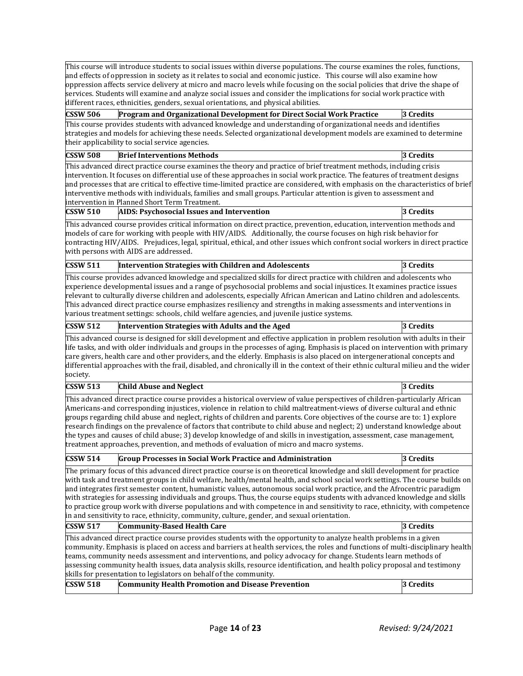|                 | This course will introduce students to social issues within diverse populations. The course examines the roles, functions,<br>and effects of oppression in society as it relates to social and economic justice. This course will also examine how<br>oppression affects service delivery at micro and macro levels while focusing on the social policies that drive the shape of<br>services. Students will examine and analyze social issues and consider the implications for social work practice with<br>different races, ethnicities, genders, sexual orientations, and physical abilities.                                                                                                                                            |           |
|-----------------|----------------------------------------------------------------------------------------------------------------------------------------------------------------------------------------------------------------------------------------------------------------------------------------------------------------------------------------------------------------------------------------------------------------------------------------------------------------------------------------------------------------------------------------------------------------------------------------------------------------------------------------------------------------------------------------------------------------------------------------------|-----------|
| <b>CSSW 506</b> | Program and Organizational Development for Direct Social Work Practice                                                                                                                                                                                                                                                                                                                                                                                                                                                                                                                                                                                                                                                                       | 3 Credits |
|                 | This course provides students with advanced knowledge and understanding of organizational needs and identifies                                                                                                                                                                                                                                                                                                                                                                                                                                                                                                                                                                                                                               |           |
|                 | strategies and models for achieving these needs. Selected organizational development models are examined to determine                                                                                                                                                                                                                                                                                                                                                                                                                                                                                                                                                                                                                        |           |
|                 | their applicability to social service agencies.                                                                                                                                                                                                                                                                                                                                                                                                                                                                                                                                                                                                                                                                                              |           |
| <b>CSSW 508</b> | <b>Brief Interventions Methods</b>                                                                                                                                                                                                                                                                                                                                                                                                                                                                                                                                                                                                                                                                                                           | 3 Credits |
|                 | This advanced direct practice course examines the theory and practice of brief treatment methods, including crisis                                                                                                                                                                                                                                                                                                                                                                                                                                                                                                                                                                                                                           |           |
|                 | intervention. It focuses on differential use of these approaches in social work practice. The features of treatment designs<br>and processes that are critical to effective time-limited practice are considered, with emphasis on the characteristics of brief<br>interventive methods with individuals, families and small groups. Particular attention is given to assessment and<br>intervention in Planned Short Term Treatment.                                                                                                                                                                                                                                                                                                        |           |
| <b>CSSW 510</b> | <b>AIDS: Psychosocial Issues and Intervention</b>                                                                                                                                                                                                                                                                                                                                                                                                                                                                                                                                                                                                                                                                                            | 3 Credits |
|                 |                                                                                                                                                                                                                                                                                                                                                                                                                                                                                                                                                                                                                                                                                                                                              |           |
|                 | This advanced course provides critical information on direct practice, prevention, education, intervention methods and<br>models of care for working with people with HIV/AIDS. Additionally, the course focuses on high risk behavior for<br>contracting HIV/AIDS. Prejudices, legal, spiritual, ethical, and other issues which confront social workers in direct practice<br>with persons with AIDS are addressed.                                                                                                                                                                                                                                                                                                                        |           |
| <b>CSSW 511</b> | Intervention Strategies with Children and Adolescents                                                                                                                                                                                                                                                                                                                                                                                                                                                                                                                                                                                                                                                                                        | 3 Credits |
|                 | This course provides advanced knowledge and specialized skills for direct practice with children and adolescents who<br>experience developmental issues and a range of psychosocial problems and social injustices. It examines practice issues<br>relevant to culturally diverse children and adolescents, especially African American and Latino children and adolescents.<br>This advanced direct practice course emphasizes resiliency and strengths in making assessments and interventions in<br>various treatment settings: schools, child welfare agencies, and juvenile justice systems.                                                                                                                                            |           |
| <b>CSSW 512</b> | Intervention Strategies with Adults and the Aged                                                                                                                                                                                                                                                                                                                                                                                                                                                                                                                                                                                                                                                                                             | 3 Credits |
| society.        | This advanced course is designed for skill development and effective application in problem resolution with adults in their<br>life tasks, and with older individuals and groups in the processes of aging. Emphasis is placed on intervention with primary<br>care givers, health care and other providers, and the elderly. Emphasis is also placed on intergenerational concepts and<br>differential approaches with the frail, disabled, and chronically ill in the context of their ethnic cultural milieu and the wider                                                                                                                                                                                                                |           |
| <b>CSSW 513</b> | <b>Child Abuse and Neglect</b>                                                                                                                                                                                                                                                                                                                                                                                                                                                                                                                                                                                                                                                                                                               | 3 Credits |
|                 | This advanced direct practice course provides a historical overview of value perspectives of children-particularly African<br>Americans-and corresponding injustices, violence in relation to child maltreatment-views of diverse cultural and ethnic<br>groups regarding child abuse and neglect, rights of children and parents. Core objectives of the course are to: 1) explore<br>research findings on the prevalence of factors that contribute to child abuse and neglect; 2) understand knowledge about<br>the types and causes of child abuse; 3) develop knowledge of and skills in investigation, assessment, case management,<br>treatment approaches, prevention, and methods of evaluation of micro and macro systems.         |           |
| <b>CSSW 514</b> | <b>Group Processes in Social Work Practice and Administration</b>                                                                                                                                                                                                                                                                                                                                                                                                                                                                                                                                                                                                                                                                            | 3 Credits |
|                 | The primary focus of this advanced direct practice course is on theoretical knowledge and skill development for practice<br>with task and treatment groups in child welfare, health/mental health, and school social work settings. The course builds on<br>and integrates first semester content, humanistic values, autonomous social work practice, and the Afrocentric paradigm<br>with strategies for assessing individuals and groups. Thus, the course equips students with advanced knowledge and skills<br>to practice group work with diverse populations and with competence in and sensitivity to race, ethnicity, with competence<br>in and sensitivity to race, ethnicity, community, culture, gender, and sexual orientation. |           |
| <b>CSSW 517</b> | <b>Community-Based Health Care</b>                                                                                                                                                                                                                                                                                                                                                                                                                                                                                                                                                                                                                                                                                                           | 3 Credits |
|                 | This advanced direct practice course provides students with the opportunity to analyze health problems in a given                                                                                                                                                                                                                                                                                                                                                                                                                                                                                                                                                                                                                            |           |
| <b>CSSW 518</b> | community. Emphasis is placed on access and barriers at health services, the roles and functions of multi-disciplinary health<br>teams, community needs assessment and interventions, and policy advocacy for change. Students learn methods of<br>assessing community health issues, data analysis skills, resource identification, and health policy proposal and testimony<br>skills for presentation to legislators on behalf of the community.<br><b>Community Health Promotion and Disease Prevention</b>                                                                                                                                                                                                                              | 3 Credits |
|                 |                                                                                                                                                                                                                                                                                                                                                                                                                                                                                                                                                                                                                                                                                                                                              |           |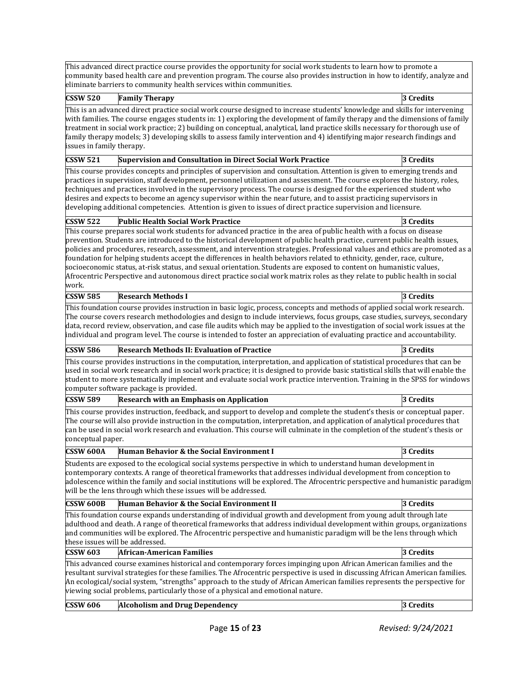This advanced direct practice course provides the opportunity for social work students to learn how to promote a community based health care and prevention program. The course also provides instruction in how to identify, analyze and eliminate barriers to community health services within communities.

| <b>CSSW 520</b>           | <b>Family Therapy</b>                                                                                                                                                                                                                                                                                                                                                                                                                                                                                                                                                                                                                                                                                                                                             | 3 Credits |
|---------------------------|-------------------------------------------------------------------------------------------------------------------------------------------------------------------------------------------------------------------------------------------------------------------------------------------------------------------------------------------------------------------------------------------------------------------------------------------------------------------------------------------------------------------------------------------------------------------------------------------------------------------------------------------------------------------------------------------------------------------------------------------------------------------|-----------|
| issues in family therapy. | This is an advanced direct practice social work course designed to increase students' knowledge and skills for intervening<br>with families. The course engages students in: 1) exploring the development of family therapy and the dimensions of family<br>treatment in social work practice; 2) building on conceptual, analytical, land practice skills necessary for thorough use of<br>family therapy models; 3) developing skills to assess family intervention and 4) identifying major research findings and                                                                                                                                                                                                                                              |           |
| <b>CSSW 521</b>           | Supervision and Consultation in Direct Social Work Practice                                                                                                                                                                                                                                                                                                                                                                                                                                                                                                                                                                                                                                                                                                       | 3 Credits |
|                           | This course provides concepts and principles of supervision and consultation. Attention is given to emerging trends and<br>practices in supervision, staff development, personnel utilization and assessment. The course explores the history, roles,<br>techniques and practices involved in the supervisory process. The course is designed for the experienced student who<br>desires and expects to become an agency supervisor within the near future, and to assist practicing supervisors in<br>developing additional competencies. Attention is given to issues of direct practice supervision and licensure.                                                                                                                                             |           |
| <b>CSSW 522</b>           | <b>Public Health Social Work Practice</b>                                                                                                                                                                                                                                                                                                                                                                                                                                                                                                                                                                                                                                                                                                                         | 3 Credits |
| work.                     | This course prepares social work students for advanced practice in the area of public health with a focus on disease<br>prevention. Students are introduced to the historical development of public health practice, current public health issues,<br>policies and procedures, research, assessment, and intervention strategies. Professional values and ethics are promoted as a<br>foundation for helping students accept the differences in health behaviors related to ethnicity, gender, race, culture,<br>socioeconomic status, at-risk status, and sexual orientation. Students are exposed to content on humanistic values,<br>Afrocentric Perspective and autonomous direct practice social work matrix roles as they relate to public health in social |           |
| <b>CSSW 585</b>           | <b>Research Methods I</b>                                                                                                                                                                                                                                                                                                                                                                                                                                                                                                                                                                                                                                                                                                                                         | 3 Credits |
|                           | This foundation course provides instruction in basic logic, process, concepts and methods of applied social work research.<br>The course covers research methodologies and design to include interviews, focus groups, case studies, surveys, secondary<br>data, record review, observation, and case file audits which may be applied to the investigation of social work issues at the<br>individual and program level. The course is intended to foster an appreciation of evaluating practice and accountability.                                                                                                                                                                                                                                             |           |
| <b>CSSW 586</b>           | <b>Research Methods II: Evaluation of Practice</b>                                                                                                                                                                                                                                                                                                                                                                                                                                                                                                                                                                                                                                                                                                                | 3 Credits |
|                           | This course provides instructions in the computation, interpretation, and application of statistical procedures that can be<br>used in social work research and in social work practice; it is designed to provide basic statistical skills that will enable the<br>student to more systematically implement and evaluate social work practice intervention. Training in the SPSS for windows<br>computer software package is provided.                                                                                                                                                                                                                                                                                                                           |           |
| <b>CSSW 589</b>           | <b>Research with an Emphasis on Application</b>                                                                                                                                                                                                                                                                                                                                                                                                                                                                                                                                                                                                                                                                                                                   | 3 Credits |
| conceptual paper.         | This course provides instruction, feedback, and support to develop and complete the student's thesis or conceptual paper.<br>The course will also provide instruction in the computation, interpretation, and application of analytical procedures that<br>can be used in social work research and evaluation. This course will culminate in the completion of the student's thesis or                                                                                                                                                                                                                                                                                                                                                                            |           |
| <b>CSSW 600A</b>          | Human Behavior & the Social Environment I                                                                                                                                                                                                                                                                                                                                                                                                                                                                                                                                                                                                                                                                                                                         | 3 Credits |
|                           | Students are exposed to the ecological social systems perspective in which to understand human development in<br>contemporary contexts. A range of theoretical frameworks that addresses individual development from conception to<br>adolescence within the family and social institutions will be explored. The Afrocentric perspective and humanistic paradigm<br>will be the lens through which these issues will be addressed.                                                                                                                                                                                                                                                                                                                               |           |
| CSSW 600B                 | Human Behavior & the Social Environment II                                                                                                                                                                                                                                                                                                                                                                                                                                                                                                                                                                                                                                                                                                                        | 3 Credits |
|                           | This foundation course expands understanding of individual growth and development from young adult through late<br>adulthood and death. A range of theoretical frameworks that address individual development within groups, organizations<br>and communities will be explored. The Afrocentric perspective and humanistic paradigm will be the lens through which<br>these issues will be addressed.                                                                                                                                                                                                                                                                                                                                                             |           |
| <b>CSSW 603</b>           | <b>African-American Families</b>                                                                                                                                                                                                                                                                                                                                                                                                                                                                                                                                                                                                                                                                                                                                  | 3 Credits |
|                           | This advanced course examines historical and contemporary forces impinging upon African American families and the<br>resultant survival strategies for these families. The Afrocentric perspective is used in discussing African American families.<br>An ecological/social system, "strengths" approach to the study of African American families represents the perspective for<br>viewing social problems, particularly those of a physical and emotional nature.                                                                                                                                                                                                                                                                                              |           |
| <b>CSSW 606</b>           | <b>Alcoholism and Drug Dependency</b>                                                                                                                                                                                                                                                                                                                                                                                                                                                                                                                                                                                                                                                                                                                             | 3 Credits |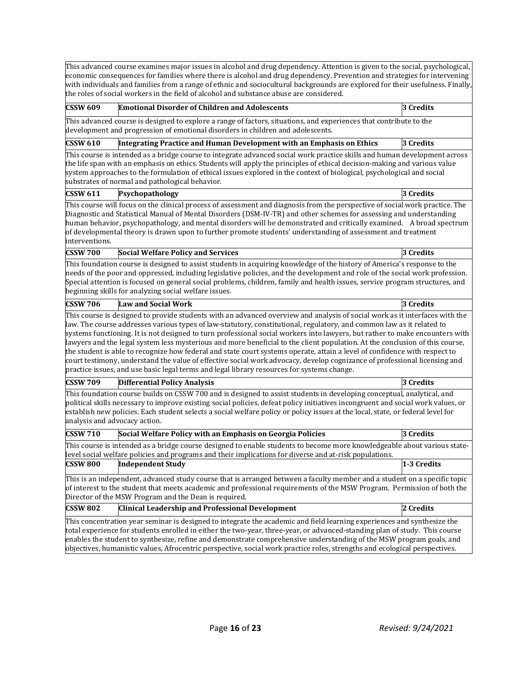This advanced course examines major issues in alcohol and drug dependency. Attention is given to the social, psychological, economic consequences for families where there is alcohol and drug dependency. Prevention and strategies for intervening with individuals and families from a range of ethnic and sociocultural backgrounds are explored for their usefulness. Finally, the roles of social workers in the field of alcohol and substance abuse are considered. **CSSW 609 Emotional Disorder of Children and Adolescents 3 Credits** This advanced course is designed to explore a range of factors, situations, and experiences that contribute to the development and progression of emotional disorders in children and adolescents. **CSSW 610 Integrating Practice and Human Development with an Emphasis on Ethics 3 Credits** This course is intended as a bridge course to integrate advanced social work practice skills and human development across the life span with an emphasis on ethics. Students will apply the principles of ethical decision-making and various value system approaches to the formulation of ethical issues explored in the context of biological, psychological and social substrates of normal and pathological behavior.<br>CSSW 611 Psychopathology **Psychopathology 3** Credits This course will focus on the clinical process of assessment and diagnosis from the perspective of social work practice. The Diagnostic and Statistical Manual of Mental Disorders (DSM-IV-TR) and other schemes for assessing and understanding human behavior, psychopathology, and mental disorders will be demonstrated and critically examined. A broad spectrum of developmental theory is drawn upon to further promote students' understanding of assessment and treatment interventions. **CSSW 700 Social Welfare Policy and Services 3 Credits** This foundation course is designed to assist students in acquiring knowledge of the history of America's response to the needs of the poor and oppressed, including legislative policies, and the development and role of the social work profession. Special attention is focused on general social problems, children, family and health issues, service program structures, and beginning skills for analyzing social welfare issues. **CSSW 706 Law and Social Work 3 Credits** This course is designed to provide students with an advanced overview and analysis of social work as it interfaces with the law. The course addresses various types of law-statutory, constitutional, regulatory, and common law as it related to systems functioning. It is not designed to turn professional social workers into lawyers, but rather to make encounters with lawyers and the legal system less mysterious and more beneficial to the client population. At the conclusion of this course, the student is able to recognize how federal and state court systems operate, attain a level of confidence with respect to court testimony, understand the value of effective social work advocacy, develop cognizance of professional licensing and practice issues, and use basic legal terms and legal library resources for systems change. **CSSW 709 Differential Policy Analysis 3 Credits** This foundation course builds on CSSW 700 and is designed to assist students in developing conceptual, analytical, and political skills necessary to improve existing social policies, defeat policy initiatives incongruent and social work values, or establish new policies. Each student selects a social welfare policy or policy issues at the local, state, or federal level for analysis and advocacy action. **CSSW 710 Social Welfare Policy with an Emphasis on Georgia Policies 3 Credits** This course is intended as a bridge course designed to enable students to become more knowledgeable about various statelevel social welfare policies and programs and their implications for diverse and at-risk populations. **CSSW 800 Independent Study 1-3 Credits** This is an independent, advanced study course that is arranged between a faculty member and a student on a specific topic of interest to the student that meets academic and professional requirements of the MSW Program. Permission of both the Director of the MSW Program and the Dean is required. **CSSW 802 Clinical Leadership and Professional Development 2 Credits**  This concentration year seminar is designed to integrate the academic and field learning experiences and synthesize the total experience for students enrolled in either the two-year, three-year, or advanced-standing plan of study. This course enables the student to synthesize, refine and demonstrate comprehensive understanding of the MSW program goals, and objectives, humanistic values, Afrocentric perspective, social work practice roles, strengths and ecological perspectives.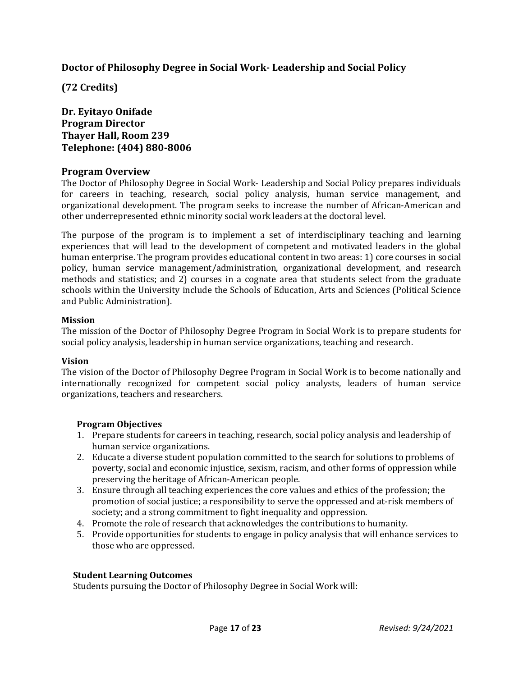# **Doctor of Philosophy Degree in Social Work- Leadership and Social Policy**

**(72 Credits)** 

# **Dr. Eyitayo Onifade Program Director Thayer Hall, Room 239 Telephone: (404) 880-8006**

# **Program Overview**

The Doctor of Philosophy Degree in Social Work- Leadership and Social Policy prepares individuals for careers in teaching, research, social policy analysis, human service management, and organizational development. The program seeks to increase the number of African-American and other underrepresented ethnic minority social work leaders at the doctoral level.

The purpose of the program is to implement a set of interdisciplinary teaching and learning experiences that will lead to the development of competent and motivated leaders in the global human enterprise. The program provides educational content in two areas: 1) core courses in social policy, human service management/administration, organizational development, and research methods and statistics; and 2) courses in a cognate area that students select from the graduate schools within the University include the Schools of Education, Arts and Sciences (Political Science and Public Administration).

#### **Mission**

The mission of the Doctor of Philosophy Degree Program in Social Work is to prepare students for social policy analysis, leadership in human service organizations, teaching and research.

# **Vision**

The vision of the Doctor of Philosophy Degree Program in Social Work is to become nationally and internationally recognized for competent social policy analysts, leaders of human service organizations, teachers and researchers.

# **Program Objectives**

- 1. Prepare students for careers in teaching, research, social policy analysis and leadership of human service organizations.
- 2. Educate a diverse student population committed to the search for solutions to problems of poverty, social and economic injustice, sexism, racism, and other forms of oppression while preserving the heritage of African-American people.
- 3. Ensure through all teaching experiences the core values and ethics of the profession; the promotion of social justice; a responsibility to serve the oppressed and at-risk members of society; and a strong commitment to fight inequality and oppression.
- 4. Promote the role of research that acknowledges the contributions to humanity.
- 5. Provide opportunities for students to engage in policy analysis that will enhance services to those who are oppressed.

# **Student Learning Outcomes**

Students pursuing the Doctor of Philosophy Degree in Social Work will: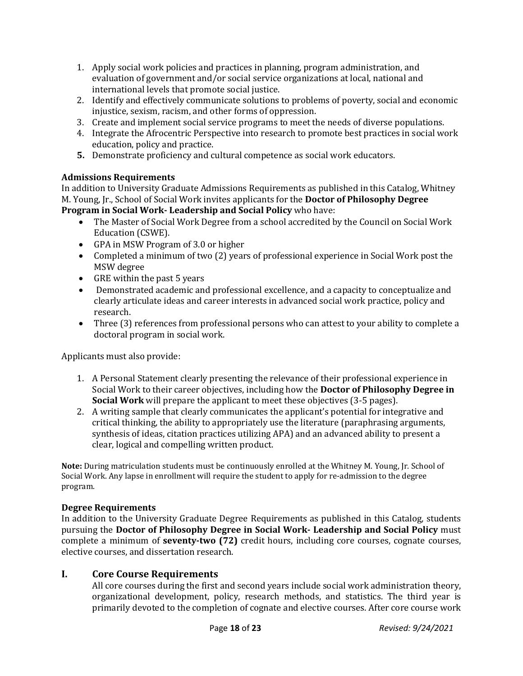- 1. Apply social work policies and practices in planning, program administration, and evaluation of government and/or social service organizations at local, national and international levels that promote social justice.
- 2. Identify and effectively communicate solutions to problems of poverty, social and economic injustice, sexism, racism, and other forms of oppression.
- 3. Create and implement social service programs to meet the needs of diverse populations.
- 4. Integrate the Afrocentric Perspective into research to promote best practices in social work education, policy and practice.
- **5.** Demonstrate proficiency and cultural competence as social work educators.

# **Admissions Requirements**

In addition to University Graduate Admissions Requirements as published in this Catalog, Whitney M. Young, Jr., School of Social Work invites applicants for the **Doctor of Philosophy Degree Program in Social Work- Leadership and Social Policy** who have:

- The Master of Social Work Degree from a school accredited by the Council on Social Work Education (CSWE).
- GPA in MSW Program of 3.0 or higher
- Completed a minimum of two (2) years of professional experience in Social Work post the MSW degree
- GRE within the past 5 years
- Demonstrated academic and professional excellence, and a capacity to conceptualize and clearly articulate ideas and career interests in advanced social work practice, policy and research.
- Three (3) references from professional persons who can attest to your ability to complete a doctoral program in social work.

Applicants must also provide:

- 1. A Personal Statement clearly presenting the relevance of their professional experience in Social Work to their career objectives, including how the **Doctor of Philosophy Degree in Social Work** will prepare the applicant to meet these objectives (3-5 pages).
- 2. A writing sample that clearly communicates the applicant's potential for integrative and critical thinking, the ability to appropriately use the literature (paraphrasing arguments, synthesis of ideas, citation practices utilizing APA) and an advanced ability to present a clear, logical and compelling written product.

**Note:** During matriculation students must be continuously enrolled at the Whitney M. Young, Jr. School of Social Work. Any lapse in enrollment will require the student to apply for re-admission to the degree program.

# **Degree Requirements**

In addition to the University Graduate Degree Requirements as published in this Catalog, students pursuing the **Doctor of Philosophy Degree in Social Work- Leadership and Social Policy** must complete a minimum of **seventy-two (72)** credit hours, including core courses, cognate courses, elective courses, and dissertation research.

# **I. Core Course Requirements**

All core courses during the first and second years include social work administration theory, organizational development, policy, research methods, and statistics. The third year is primarily devoted to the completion of cognate and elective courses. After core course work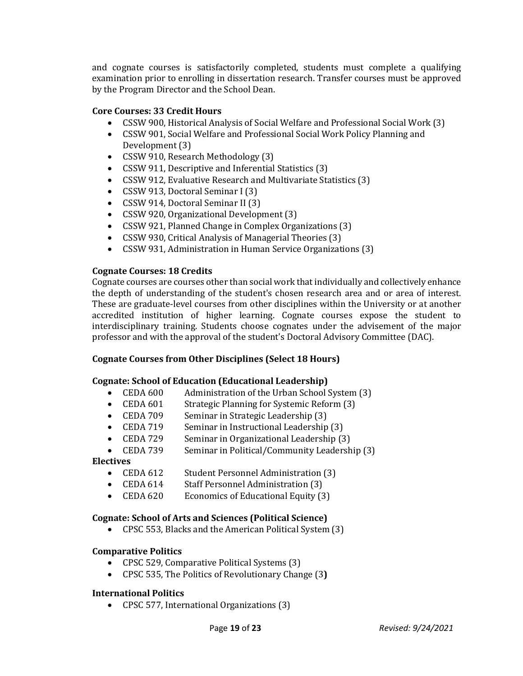and cognate courses is satisfactorily completed, students must complete a qualifying examination prior to enrolling in dissertation research. Transfer courses must be approved by the Program Director and the School Dean.

#### **Core Courses: 33 Credit Hours**

- CSSW 900, Historical Analysis of Social Welfare and Professional Social Work (3)
- CSSW 901, Social Welfare and Professional Social Work Policy Planning and Development (3)
- CSSW 910, Research Methodology (3)
- CSSW 911, Descriptive and Inferential Statistics (3)
- CSSW 912, Evaluative Research and Multivariate Statistics (3)
- CSSW 913, Doctoral Seminar I (3)
- CSSW 914, Doctoral Seminar II (3)
- CSSW 920, Organizational Development (3)
- CSSW 921, Planned Change in Complex Organizations (3)
- CSSW 930, Critical Analysis of Managerial Theories (3)
- CSSW 931, Administration in Human Service Organizations (3)

#### **Cognate Courses: 18 Credits**

Cognate courses are courses other than social work that individually and collectively enhance the depth of understanding of the student's chosen research area and or area of interest. These are graduate-level courses from other disciplines within the University or at another accredited institution of higher learning. Cognate courses expose the student to interdisciplinary training. Students choose cognates under the advisement of the major professor and with the approval of the student's Doctoral Advisory Committee (DAC).

#### **Cognate Courses from Other Disciplines (Select 18 Hours)**

#### **Cognate: School of Education (Educational Leadership)**

- CEDA 600 Administration of the Urban School System (3)<br>• CEDA 601 Strategic Planning for Systemic Reform (3)
- CEDA 601 Strategic Planning for Systemic Reform (3)<br>• CEDA 709 Seminar in Strategic Leadershin (3)
- 
- CEDA 709 Seminar in Strategic Leadership (3)<br>• CEDA 719 Seminar in Instructional Leadership
- CEDA 719 Seminar in Instructional Leadership (3)<br>• CEDA 729 Seminar in Organizational Leadership (3)
- CEDA 729 Seminar in Organizational Leadership (3)<br>• CEDA 739 Seminar in Political/Community Leadersh Seminar in Political/Community Leadership (3)

#### **Electives**

- CEDA 612 Student Personnel Administration (3)
- 
- CEDA 614 Staff Personnel Administration (3)<br>• CEDA 620 Economics of Educational Equity (3) Economics of Educational Equity (3)

#### **Cognate: School of Arts and Sciences (Political Science)**

• CPSC 553, Blacks and the American Political System (3)

#### **Comparative Politics**

- CPSC 529, Comparative Political Systems (3)
- CPSC 535, The Politics of Revolutionary Change (3**)**

#### **International Politics**

• CPSC 577, International Organizations (3)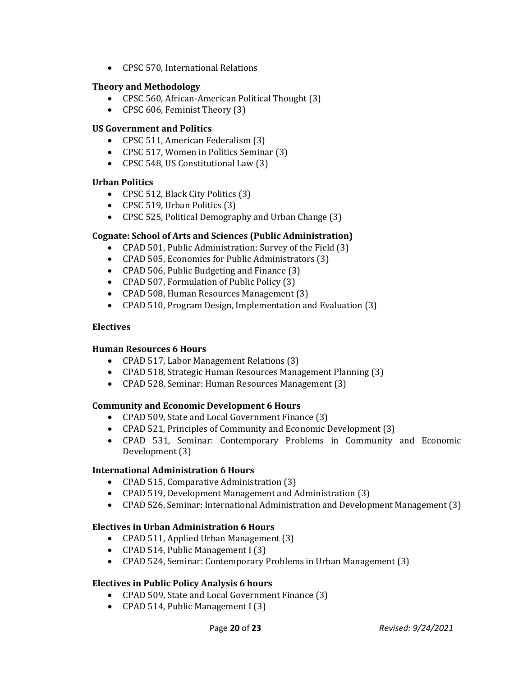• CPSC 570, International Relations

#### **Theory and Methodology**

- CPSC 560, African-American Political Thought (3)
- CPSC 606, Feminist Theory (3)

#### **US Government and Politics**

- CPSC 511, American Federalism (3)
- CPSC 517, Women in Politics Seminar (3)
- CPSC 548, US Constitutional Law (3)

#### **Urban Politics**

- CPSC 512, Black City Politics (3)
- CPSC 519, Urban Politics (3)
- CPSC 525, Political Demography and Urban Change (3)

# **Cognate: School of Arts and Sciences (Public Administration)**

- CPAD 501, Public Administration: Survey of the Field (3)
- CPAD 505, Economics for Public Administrators (3)
- CPAD 506, Public Budgeting and Finance (3)
- CPAD 507, Formulation of Public Policy (3)
- CPAD 508, Human Resources Management (3)
- CPAD 510, Program Design, Implementation and Evaluation (3)

#### **Electives**

# **Human Resources 6 Hours**

- CPAD 517, Labor Management Relations (3)
- CPAD 518, Strategic Human Resources Management Planning (3)
- CPAD 528, Seminar: Human Resources Management (3)

# **Community and Economic Development 6 Hours**

- CPAD 509, State and Local Government Finance (3)
- CPAD 521, Principles of Community and Economic Development (3)
- CPAD 531, Seminar: Contemporary Problems in Community and Economic Development (3)

#### **International Administration 6 Hours**

- CPAD 515, Comparative Administration (3)
- CPAD 519, Development Management and Administration (3)
- CPAD 526, Seminar: International Administration and Development Management (3)

#### **Electives in Urban Administration 6 Hours**

- CPAD 511, Applied Urban Management (3)
- CPAD 514, Public Management I (3)
- CPAD 524, Seminar: Contemporary Problems in Urban Management (3)

#### **Electives in Public Policy Analysis 6 hours**

- CPAD 509, State and Local Government Finance (3)
- CPAD 514, Public Management I (3)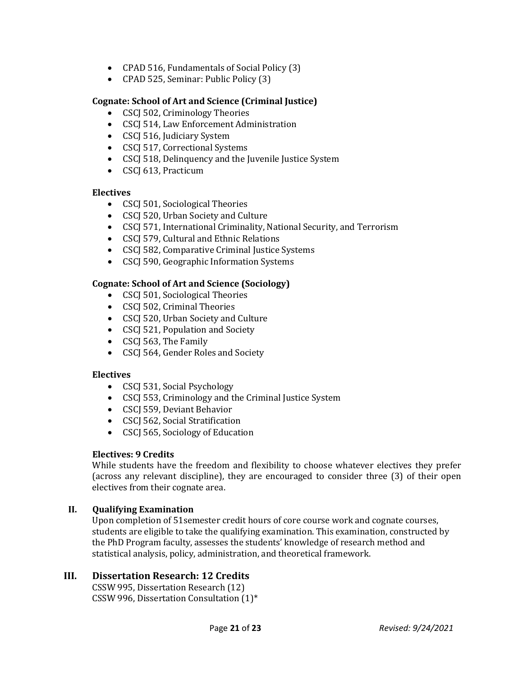- CPAD 516, Fundamentals of Social Policy (3)
- CPAD 525, Seminar: Public Policy (3)

# **Cognate: School of Art and Science (Criminal Justice)**

- CSCJ 502, Criminology Theories
- CSCJ 514, Law Enforcement Administration
- CSCJ 516, Judiciary System
- CSCJ 517, Correctional Systems
- CSCJ 518, Delinquency and the Juvenile Justice System
- CSCJ 613, Practicum

# **Electives**

- CSCJ 501, Sociological Theories
- CSCJ 520, Urban Society and Culture
- CSCJ 571, International Criminality, National Security, and Terrorism
- CSCJ 579, Cultural and Ethnic Relations
- CSCJ 582, Comparative Criminal Justice Systems
- CSCJ 590, Geographic Information Systems

# **Cognate: School of Art and Science (Sociology)**

- CSCJ 501, Sociological Theories
- CSCJ 502, Criminal Theories
- CSCJ 520, Urban Society and Culture
- CSCJ 521, Population and Society
- CSCJ 563, The Family
- CSCJ 564, Gender Roles and Society

#### **Electives**

- CSCI 531, Social Psychology
- CSCI 553, Criminology and the Criminal Justice System
- CSCJ 559, Deviant Behavior
- CSCI 562, Social Stratification
- CSCI 565, Sociology of Education

# **Electives: 9 Credits**

While students have the freedom and flexibility to choose whatever electives they prefer (across any relevant discipline), they are encouraged to consider three (3) of their open electives from their cognate area.

# **II. Qualifying Examination**

Upon completion of 51semester credit hours of core course work and cognate courses, students are eligible to take the qualifying examination. This examination, constructed by the PhD Program faculty, assesses the students' knowledge of research method and statistical analysis, policy, administration, and theoretical framework.

# **III. Dissertation Research: 12 Credits**

CSSW 995, Dissertation Research (12) CSSW 996, Dissertation Consultation (1)\*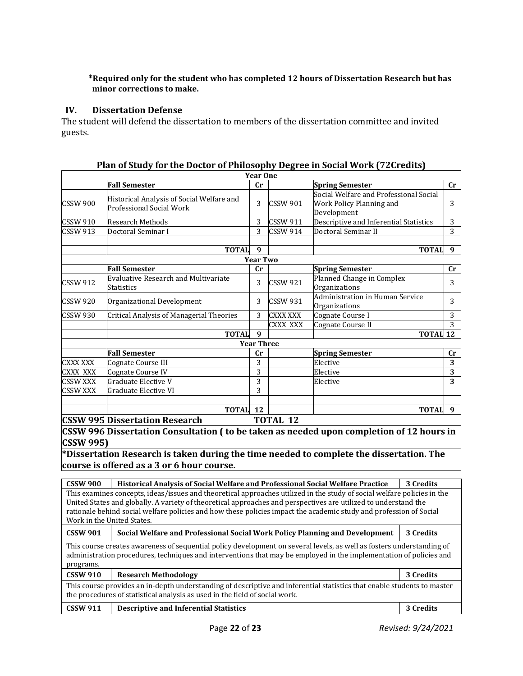#### **\*Required only for the student who has completed 12 hours of Dissertation Research but has minor corrections to make.**

#### **IV. Dissertation Defense**

The student will defend the dissertation to members of the dissertation committee and invited guests.

|                 |                                                                                              | <b>Year One</b>   |                 |                                                                                   |             |
|-----------------|----------------------------------------------------------------------------------------------|-------------------|-----------------|-----------------------------------------------------------------------------------|-------------|
|                 | <b>Fall Semester</b>                                                                         | cr                |                 | <b>Spring Semester</b>                                                            | $_{\rm Cr}$ |
| CSSW 900        | Historical Analysis of Social Welfare and<br><b>Professional Social Work</b>                 | 3                 | <b>CSSW 901</b> | Social Welfare and Professional Social<br>Work Policy Planning and<br>Development | 3           |
| <b>CSSW 910</b> | <b>Research Methods</b>                                                                      | 3                 | <b>CSSW 911</b> | Descriptive and Inferential Statistics                                            | 3           |
| <b>CSSW 913</b> | Doctoral Seminar I                                                                           | 3                 | <b>CSSW 914</b> | Doctoral Seminar II                                                               | 3           |
|                 |                                                                                              |                   |                 |                                                                                   |             |
|                 | <b>TOTAL</b>                                                                                 | 9                 |                 | <b>TOTAL</b>                                                                      | 9           |
|                 |                                                                                              | <b>Year Two</b>   |                 |                                                                                   |             |
|                 | <b>Fall Semester</b>                                                                         | cr                |                 | <b>Spring Semester</b>                                                            | $_{\rm Cr}$ |
| <b>CSSW 912</b> | <b>Evaluative Research and Multivariate</b><br>Statistics                                    | 3                 | <b>CSSW 921</b> | Planned Change in Complex<br>Organizations                                        | 3           |
| <b>CSSW 920</b> | Organizational Development                                                                   | 3                 | <b>CSSW 931</b> | Administration in Human Service<br>Organizations                                  | 3           |
| <b>CSSW 930</b> | Critical Analysis of Managerial Theories                                                     | 3                 | CXXX XXX        | Cognate Course I                                                                  | 3           |
|                 |                                                                                              |                   | CXXX XXX        | Cognate Course II                                                                 | 3           |
|                 | <b>TOTAL</b>                                                                                 | 9                 |                 | <b>TOTAL 12</b>                                                                   |             |
|                 |                                                                                              | <b>Year Three</b> |                 |                                                                                   |             |
|                 | <b>Fall Semester</b>                                                                         | cr                |                 | <b>Spring Semester</b>                                                            | cr          |
| CXXX XXX        | Cognate Course III                                                                           | 3                 |                 | Elective                                                                          | 3           |
| CXXX XXX        | Cognate Course IV                                                                            | 3                 |                 | Elective                                                                          | 3           |
| <b>CSSW XXX</b> | Graduate Elective V                                                                          | 3                 |                 | Elective                                                                          | 3           |
| <b>CSSW XXX</b> | Graduate Elective VI                                                                         | 3                 |                 |                                                                                   |             |
|                 |                                                                                              |                   |                 |                                                                                   |             |
|                 | <b>TOTAL</b>                                                                                 | <b>12</b>         |                 | <b>TOTAL</b>                                                                      | 9           |
|                 | <b>CSSW 995 Dissertation Research</b>                                                        |                   | <b>TOTAL 12</b> |                                                                                   |             |
|                 | CCCULOCC Discontation Consultation (to he tolers conserved ad unon completion of 12 hours in |                   |                 |                                                                                   |             |

**Plan of Study for the Doctor of Philosophy Degree in Social Work (72Credits)**

**CSSW 996 Dissertation Consultation ( to be taken as needed upon completion of 12 hours in CSSW 995)**

**\*Dissertation Research is taken during the time needed to complete the dissertation. The course is offered as a 3 or 6 hour course.**

**CSSW 900 Historical Analysis of Social Welfare and Professional Social Welfare Practice 3 Credits** This examines concepts, ideas/issues and theoretical approaches utilized in the study of social welfare policies in the United States and globally. A variety of theoretical approaches and perspectives are utilized to understand the rationale behind social welfare policies and how these policies impact the academic study and profession of Social Work in the United States. **CSSW 901 Social Welfare and Professional Social Work Policy Planning and Development 3 Credits** This course creates awareness of sequential policy development on several levels, as well as fosters understanding of administration procedures, techniques and interventions that may be employed in the implementation of policies and programs.

| ι μιυχιαπιν.                                                                                                                                                                                           |                                               |           |  |
|--------------------------------------------------------------------------------------------------------------------------------------------------------------------------------------------------------|-----------------------------------------------|-----------|--|
| <b>CSSW 910</b>                                                                                                                                                                                        | <b>Research Methodology</b>                   | 3 Credits |  |
| This course provides an in-depth understanding of descriptive and inferential statistics that enable students to master<br>the procedures of statistical analysis as used in the field of social work. |                                               |           |  |
| <b>CSSW 911</b>                                                                                                                                                                                        | <b>Descriptive and Inferential Statistics</b> | 3 Credits |  |